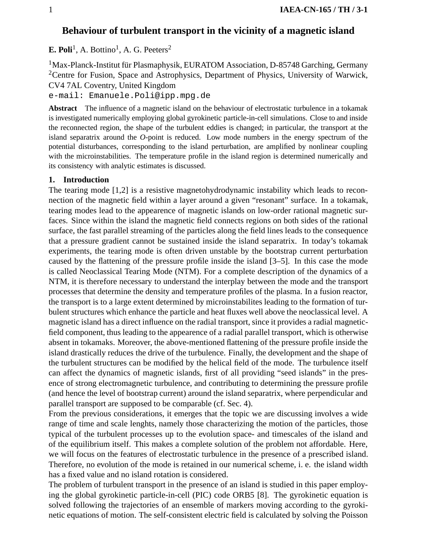# **Behaviour of turbulent transport in the vicinity of a magnetic island**

**E. Poli<sup>1</sup>**, A. Bottino<sup>1</sup>, A. G. Peeters<sup>2</sup>

<sup>1</sup>Max-Planck-Institut für Plasmaphysik, EURATOM Association, D-85748 Garching, Germany <sup>2</sup>Centre for Fusion, Space and Astrophysics, Department of Physics, University of Warwick, CV4 7AL Coventry, United Kingdom

e-mail: Emanuele.Poli@ipp.mpg.de

**Abstract** The influence of a magnetic island on the behaviour of electrostatic turbulence in a tokamak is investigated numerically employing global gyrokinetic particle-in-cell simulations. Close to and inside the reconnected region, the shape of the turbulent eddies is changed; in particular, the transport at the island separatrix around the *O*-point is reduced. Low mode numbers in the energy spectrum of the potential disturbances, corresponding to the island perturbation, are amplified by nonlinear coupling with the microinstabilities. The temperature profile in the island region is determined numerically and its consistency with analytic estimates is discussed.

### **1. Introduction**

The tearing mode [1,2] is a resistive magnetohydrodynamic instability which leads to reconnection of the magnetic field within a layer around a given "resonant" surface. In a tokamak, tearing modes lead to the appearence of magnetic islands on low-order rational magnetic surfaces. Since within the island the magnetic field connects regions on both sides of the rational surface, the fast parallel streaming of the particles along the field lines leads to the consequence that a pressure gradient cannot be sustained inside the island separatrix. In today's tokamak experiments, the tearing mode is often driven unstable by the bootstrap current perturbation caused by the flattening of the pressure profile inside the island [3–5]. In this case the mode is called Neoclassical Tearing Mode (NTM). For a complete description of the dynamics of a NTM, it is therefore necessary to understand the interplay between the mode and the transport processes that determine the density and temperature profiles of the plasma. In a fusion reactor, the transport is to a large extent determined by microinstabilites leading to the formation of turbulent structures which enhance the particle and heat fluxes well above the neoclassical level. A magnetic island has a direct influence on the radial transport, since it provides a radial magneticfield component, thus leading to the appearence of a radial parallel transport, which is otherwise absent in tokamaks. Moreover, the above-mentioned flattening of the pressure profile inside the island drastically reduces the drive of the turbulence. Finally, the development and the shape of the turbulent structures can be modified by the helical field of the mode. The turbulence itself can affect the dynamics of magnetic islands, first of all providing "seed islands" in the presence of strong electromagnetic turbulence, and contributing to determining the pressure profile (and hence the level of bootstrap current) around the island separatrix, where perpendicular and parallel transport are supposed to be comparable (cf. Sec. 4).

From the previous considerations, it emerges that the topic we are discussing involves a wide range of time and scale lenghts, namely those characterizing the motion of the particles, those typical of the turbulent processes up to the evolution space- and timescales of the island and of the equilibrium itself. This makes a complete solution of the problem not affordable. Here, we will focus on the features of electrostatic turbulence in the presence of a prescribed island. Therefore, no evolution of the mode is retained in our numerical scheme, i. e. the island width has a fixed value and no island rotation is considered.

The problem of turbulent transport in the presence of an island is studied in this paper employing the global gyrokinetic particle-in-cell (PIC) code ORB5 [8]. The gyrokinetic equation is solved following the trajectories of an ensemble of markers moving according to the gyrokinetic equations of motion. The self-consistent electric field is calculated by solving the Poisson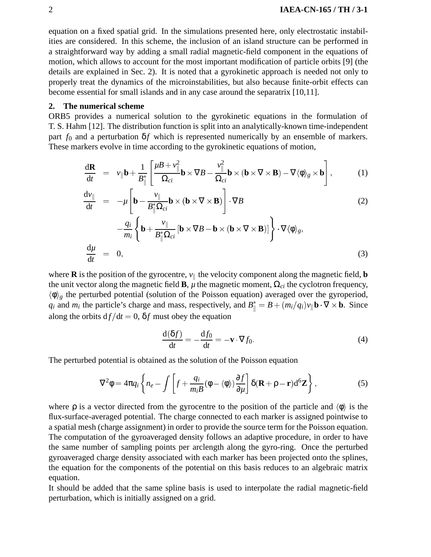equation on a fixed spatial grid. In the simulations presented here, only electrostatic instabilities are considered. In this scheme, the inclusion of an island structure can be performed in a straightforward way by adding a small radial magnetic-field component in the equations of motion, which allows to account for the most important modification of particle orbits [9] (the details are explained in Sec. 2). It is noted that a gyrokinetic approach is needed not only to properly treat the dynamics of the microinstabilities, but also because finite-orbit effects can become essential for small islands and in any case around the separatrix [10,11].

### **2. The numerical scheme**

ORB5 provides a numerical solution to the gyrokinetic equations in the formulation of T. S. Hahm [12]. The distribution function is split into an analytically-known time-independent part  $f_0$  and a perturbation  $\delta f$  which is represented numerically by an ensemble of markers. These markers evolve in time according to the gyrokinetic equations of motion,

$$
\frac{d\mathbf{R}}{dt} = v_{\parallel} \mathbf{b} + \frac{1}{B_{\parallel}^{*}} \left[ \frac{\mu B + v_{\parallel}^{2}}{\Omega_{ci}} \mathbf{b} \times \nabla B - \frac{v_{\parallel}^{2}}{\Omega_{ci}} \mathbf{b} \times (\mathbf{b} \times \nabla \times \mathbf{B}) - \nabla \langle \phi \rangle_{g} \times \mathbf{b} \right],
$$
 (1)

$$
\frac{d\nu_{\parallel}}{dt} = -\mu \left[ \mathbf{b} - \frac{\nu_{\parallel}}{B_{\parallel}^* \Omega_{ci}} \mathbf{b} \times (\mathbf{b} \times \nabla \times \mathbf{B}) \right] \cdot \nabla B \tag{2}
$$

$$
-\frac{q_i}{m_i} \left\{ \mathbf{b} + \frac{v_{\parallel}}{B_{\parallel}^* \Omega_{ci}} \left[ \mathbf{b} \times \nabla B - \mathbf{b} \times (\mathbf{b} \times \nabla \times \mathbf{B}) \right] \right\} \cdot \nabla \langle \phi \rangle_g,
$$
\n
$$
\frac{d\mu}{dt} = 0,
$$
\n(3)

$$
dt = 0,
$$
  
where **R** is the position of the gyrocentre,  $v_{\parallel}$  the velocity component along the magnetic field, **b**

the unit vector along the magnetic field **B**,  $\mu$  the magnetic moment,  $\Omega_{ci}$  the cyclotron frequency,  $\langle \phi \rangle_g$  the perturbed potential (solution of the Poisson equation) averaged over the gyroperiod, *q<sub>i</sub>* and *m<sub>i</sub>* the particle's charge and mass, respectively, and  $B^*_{\parallel} = B + (m_i/q_i)v_{\parallel}$ **b**  $\cdot \nabla \times \mathbf{b}$ . Since along the orbits  $df/dt = 0$ ,  $\delta f$  must obey the equation

$$
\frac{\mathrm{d}(\delta f)}{\mathrm{d}t} = -\frac{\mathrm{d}f_0}{\mathrm{d}t} = -\mathbf{v} \cdot \nabla f_0. \tag{4}
$$

The perturbed potential is obtained as the solution of the Poisson equation

$$
\nabla^2 \phi = 4\pi q_i \left\{ n_e - \int \left[ f + \frac{q_i}{m_i B} (\phi - \langle \phi \rangle) \frac{\partial f}{\partial \mu} \right] \delta(\mathbf{R} + \rho - \mathbf{r}) d^6 \mathbf{Z} \right\},\tag{5}
$$

where  $\rho$  is a vector directed from the gyrocentre to the position of the particle and  $\langle \phi \rangle$  is the flux-surface-averaged potential. The charge connected to each marker is assigned pointwise to a spatial mesh (charge assignment) in order to provide the source term for the Poisson equation. The computation of the gyroaveraged density follows an adaptive procedure, in order to have the same number of sampling points per arclength along the gyro-ring. Once the perturbed gyroaveraged charge density associated with each marker has been projected onto the splines, the equation for the components of the potential on this basis reduces to an algebraic matrix equation.

It should be added that the same spline basis is used to interpolate the radial magnetic-field perturbation, which is initially assigned on a grid.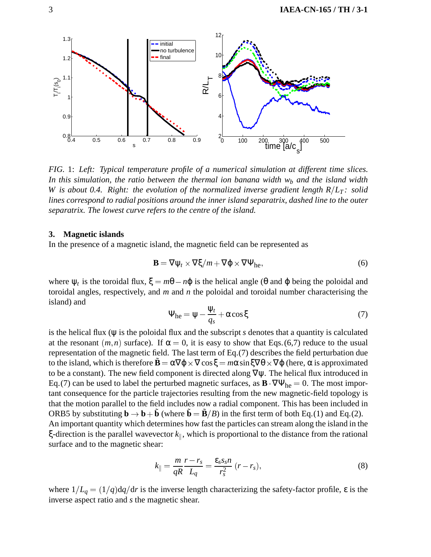

*FIG.* 1: *Left: Typical temperature profile of a numerical simulation at different time slices.* In this simulation, the ratio between the thermal ion banana width w<sub>b</sub> and the island width *W* is about 0.4. Right: the evolution of the normalized inverse gradient length  $R/L_T$ : solid *lines correspond to radial positions around the inner island separatrix, dashed line to the outer separatrix. The lowest curve refers to the centre of the island.*

#### **3. Magnetic islands**

In the presence of a magnetic island, the magnetic field can be represented as

$$
\mathbf{B} = \nabla \psi_t \times \nabla \xi / m + \nabla \varphi \times \nabla \Psi_{\text{he}}, \tag{6}
$$

where  $\psi_t$  is the toroidal flux,  $\xi = m\theta - n\varphi$  is the helical angle ( $\theta$  and  $\varphi$  being the poloidal and toroidal angles, respectively, and *m* and *n* the poloidal and toroidal number characterising the island) and

$$
\Psi_{\text{he}} = \Psi - \frac{\Psi_t}{q_s} + \alpha \cos \xi \tag{7}
$$

is the helical flux (ψ is the poloidal flux and the subscript *s* denotes that a quantity is calculated at the resonant  $(m, n)$  surface). If  $\alpha = 0$ , it is easy to show that Eqs. (6,7) reduce to the usual representation of the magnetic field. The last term of Eq.(7) describes the field perturbation due to the island, which is therefore  $\tilde{\mathbf{B}} = \alpha \nabla \varphi \times \nabla \cos \xi = m \alpha \sin \xi \nabla \theta \times \nabla \varphi$  (here,  $\alpha$  is approximated to be a constant). The new field component is directed along  $\nabla \psi$ . The helical flux introduced in Eq.(7) can be used to label the perturbed magnetic surfaces, as  $\mathbf{B} \cdot \nabla \Psi_{he} = 0$ . The most important consequence for the particle trajectories resulting from the new magnetic-field topology is that the motion parallel to the field includes now a radial component. This has been included in ORB5 by substituting  $\mathbf{b} \to \mathbf{b} + \tilde{\mathbf{b}}$  (where  $\tilde{\mathbf{b}} = \tilde{\mathbf{B}}/B$ ) in the first term of both Eq.(1) and Eq.(2). An important quantity which determines how fast the particles can stream along the island in the ξ-direction is the parallel wavevector  $k_{\parallel}$ , which is proportional to the distance from the rational surface and to the magnetic shear:

$$
k_{\parallel} = \frac{m}{qR} \frac{r - r_s}{L_q} = \frac{\varepsilon_s s_s n}{r_s^2} (r - r_s),
$$
\n(8)

where  $1/L_q = (1/q)dq/dr$  is the inverse length characterizing the safety-factor profile,  $\varepsilon$  is the inverse aspect ratio and *s* the magnetic shear.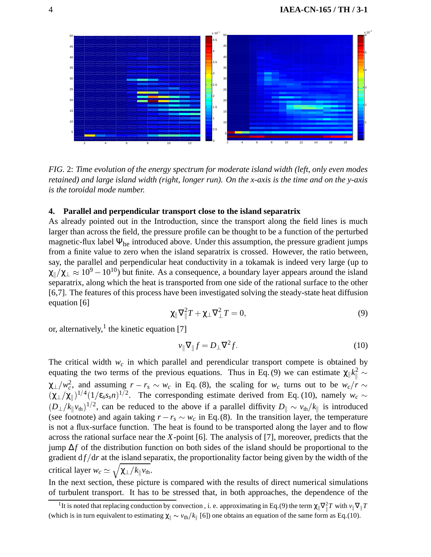

*FIG.* 2: *Time evolution of the energy spectrum for moderate island width (left, only even modes retained) and large island width (right, longer run). On the x-axis is the time and on the y-axis is the toroidal mode number.*

#### **4. Parallel and perpendicular transport close to the island separatrix**

As already pointed out in the Introduction, since the transport along the field lines is much larger than across the field, the pressure profile can be thought to be a function of the perturbed magnetic-flux label  $\Psi_{he}$  introduced above. Under this assumption, the pressure gradient jumps from a finite value to zero when the island separatrix is crossed. However, the ratio between, say, the parallel and perpendicular heat conductivity in a tokamak is indeed very large (up to  $\chi_{\parallel}/\chi_{\perp} \approx 10^9 - 10^{10}$ ) but finite. As a consequence, a boundary layer appears around the island separatrix, along which the heat is transported from one side of the rational surface to the other [6,7]. The features of this process have been investigated solving the steady-state heat diffusion equation [6]

$$
\chi_{\parallel} \nabla_{\parallel}^2 T + \chi_{\perp} \nabla_{\perp}^2 T = 0, \tag{9}
$$

or, alternatively,<sup>1</sup> the kinetic equation [7]

$$
v_{\parallel} \nabla_{\parallel} f = D_{\perp} \nabla^2 f. \tag{10}
$$

The critical width  $w_c$  in which parallel and perendicular transport compete is obtained by equating the two terms of the previous equations. Thus in Eq. (9) we can estimate  $\chi_{\parallel} k_{\parallel}^2 \sim$  $\chi_{\perp}/w_c^2$ , and assuming  $r - r_s \sim w_c$  in Eq. (8), the scaling for  $w_c$  turns out to be  $w_c/r \sim$  $(\chi_{\perp}/\chi_{\parallel})^{1/4}(1/\epsilon_{s}s_{s}n)^{1/2}$ . The corresponding estimate derived from Eq. (10), namely  $w_c \sim$  $(D_\perp/k_\parallel v_{\rm th})^{1/2}$ , can be reduced to the above if a parallel diffivity  $D_\parallel \sim v_{\rm th}/k_\parallel$  is introduced (see footnote) and again taking  $r - r_s \sim w_c$  in Eq.(8). In the transition layer, the temperature is not a flux-surface function. The heat is found to be transported along the layer and to flow across the rational surface near the *X*-point [6]. The analysis of [7], moreover, predicts that the jump ∆*f* of the distribution function on both sides of the island should be proportional to the gradient  $df/dr$  at the island separatix, the proportionality factor being given by the width of the critical layer  $w_c \simeq \sqrt{\chi_{\perp}/k_{\parallel}v_{\text{th}}}$ .

In the next section, these picture is compared with the results of direct numerical simulations of turbulent transport. It has to be stressed that, in both approaches, the dependence of the

<sup>&</sup>lt;sup>1</sup>It is noted that replacing conduction by convection, i. e. approximating in Eq.(9) the term  $\chi_{\parallel} \nabla_{\parallel}^2 T$  with  $v_{\parallel} \nabla_{\parallel} T$ (which is in turn equivalent to estimating  $\chi_{\parallel} \sim v_{\text{th}}/k_{\parallel}$  [6]) one obtains an equation of the same form as Eq.(10).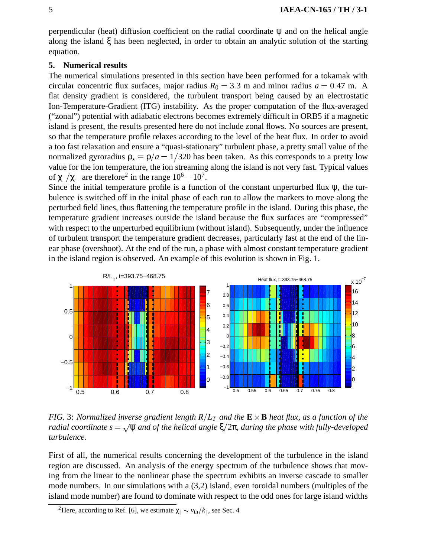perpendicular (heat) diffusion coefficient on the radial coordinate  $\psi$  and on the helical angle along the island ξ has been neglected, in order to obtain an analytic solution of the starting equation.

### **5. Numerical results**

The numerical simulations presented in this section have been performed for a tokamak with circular concentric flux surfaces, major radius  $R_0 = 3.3$  m and minor radius  $a = 0.47$  m. A flat density gradient is considered, the turbulent transport being caused by an electrostatic Ion-Temperature-Gradient (ITG) instability. As the proper computation of the flux-averaged ("zonal") potential with adiabatic electrons becomes extremely difficult in ORB5 if a magnetic island is present, the results presented here do not include zonal flows. No sources are present, so that the temperature profile relaxes according to the level of the heat flux. In order to avoid a too fast relaxation and ensure a "quasi-stationary" turbulent phase, a pretty small value of the normalized gyroradius  $\rho_{\star} \equiv \rho/a = 1/320$  has been taken. As this corresponds to a pretty low value for the ion temperature, the ion streaming along the island is not very fast. Typical values of  $\chi_{\parallel}/\chi_{\perp}$  are therefore<sup>2</sup> in the range  $10^6 - 10^7$ .

Since the initial temperature profile is a function of the constant unperturbed flux  $\psi$ , the turbulence is switched off in the inital phase of each run to allow the markers to move along the perturbed field lines, thus flattening the temperature profile in the island. During this phase, the temperature gradient increases outside the island because the flux surfaces are "compressed" with respect to the unperturbed equilibrium (without island). Subsequently, under the influence of turbulent transport the temperature gradient decreases, particularly fast at the end of the linear phase (overshoot). At the end of the run, a phase with almost constant temperature gradient in the island region is observed. An example of this evolution is shown in Fig. 1.



*FIG.* 3: *Normalized inverse gradient length*  $R/L_T$  *and the*  $\mathbf{E} \times \mathbf{B}$  *heat flux, as a function of the radial coordinate*  $s = \sqrt{\psi}$  *and of the helical angle*  $\xi/2\pi$ , *during the phase with fully-developed turbulence.*

First of all, the numerical results concerning the development of the turbulence in the island region are discussed. An analysis of the energy spectrum of the turbulence shows that moving from the linear to the nonlinear phase the spectrum exhibits an inverse cascade to smaller mode numbers. In our simulations with a (3,2) island, even toroidal numbers (multiples of the island mode number) are found to dominate with respect to the odd ones for large island widths

<sup>&</sup>lt;sup>2</sup>Here, according to Ref. [6], we estimate  $\chi_{\parallel} \sim v_{\text{th}}/k_{\parallel}$ , see Sec. 4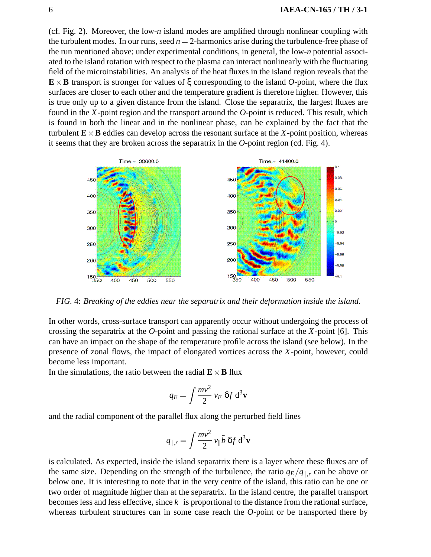(cf. Fig. 2). Moreover, the low-*n* island modes are amplified through nonlinear coupling with the turbulent modes. In our runs, seed  $n = 2$ -harmonics arise during the turbulence-free phase of the run mentioned above; under experimental conditions, in general, the low-*n* potential associated to the island rotation with respect to the plasma can interact nonlinearly with the fluctuating field of the microinstabilities. An analysis of the heat fluxes in the island region reveals that the  $\mathbf{E} \times \mathbf{B}$  transport is stronger for values of  $\xi$  corresponding to the island *O*-point, where the flux surfaces are closer to each other and the temperature gradient is therefore higher. However, this is true only up to a given distance from the island. Close the separatrix, the largest fluxes are found in the *X*-point region and the transport around the *O*-point is reduced. This result, which is found in both the linear and in the nonlinear phase, can be explained by the fact that the turbulent  $\mathbf{E} \times \mathbf{B}$  eddies can develop across the resonant surface at the *X*-point position, whereas it seems that they are broken across the separatrix in the *O*-point region (cd. Fig. 4).



*FIG.* 4: *Breaking of the eddies near the separatrix and their deformation inside the island.*

In other words, cross-surface transport can apparently occur without undergoing the process of crossing the separatrix at the *O*-point and passing the rational surface at the *X*-point [6]. This can have an impact on the shape of the temperature profile across the island (see below). In the presence of zonal flows, the impact of elongated vortices across the *X*-point, however, could become less important.

In the simulations, the ratio between the radial  $\mathbf{E} \times \mathbf{B}$  flux

$$
q_E = \int \frac{mv^2}{2} v_E \, \delta f \, \mathrm{d}^3 \mathbf{v}
$$

and the radial component of the parallel flux along the perturbed field lines

$$
q_{\parallel,r} = \int \frac{mv^2}{2} \, v_{\parallel} \tilde{b} \, \delta f \, \mathrm{d}^3 \mathbf{v}
$$

is calculated. As expected, inside the island separatrix there is a layer where these fluxes are of the same size. Depending on the strength of the turbulence, the ratio  $q_E/q_{\parallel,r}$  can be above or below one. It is interesting to note that in the very centre of the island, this ratio can be one or two order of magnitude higher than at the separatrix. In the island centre, the parallel transport becomes less and less effective, since  $k_{\parallel}$  is proportional to the distance from the rational surface, whereas turbulent structures can in some case reach the *O*-point or be transported there by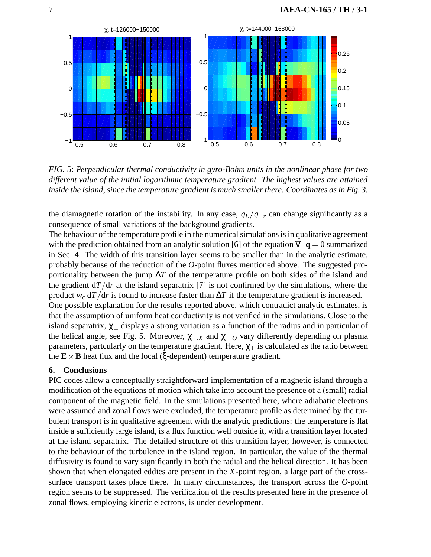

*FIG.* 5: *Perpendicular thermal conductivity in gyro-Bohm units in the nonlinear phase for two different value of the initial logarithmic temperature gradient. The highest values are attained inside the island, since the temperature gradient is much smaller there. Coordinates as in Fig. 3.*

the diamagnetic rotation of the instability. In any case,  $q_E/q_{\parallel,r}$  can change significantly as a consequence of small variations of the background gradients.

The behaviour of the temperature profile in the numerical simulations is in qualitative agreement with the prediction obtained from an analytic solution [6] of the equation  $\nabla \cdot \mathbf{q} = 0$  summarized in Sec. 4. The width of this transition layer seems to be smaller than in the analytic estimate, probably because of the reduction of the *O*-point fluxes mentioned above. The suggested proportionality between the jump ∆*T* of the temperature profile on both sides of the island and the gradient  $d/dr$  at the island separatrix [7] is not confirmed by the simulations, where the product *w<sub>c</sub>* d*T*  $/dr$  is found to increase faster than  $\Delta T$  if the temperature gradient is increased. One possible explanation for the results reported above, which contradict analytic estimates, is that the assumption of uniform heat conductivity is not verified in the simulations. Close to the island separatrix,  $\chi_{\perp}$  displays a strong variation as a function of the radius and in particular of the helical angle, see Fig. 5. Moreover,  $\chi_{\perp,X}$  and  $\chi_{\perp,O}$  vary differently depending on plasma parameters, partcularly on the temperature gradient. Here,  $\chi_{\perp}$  is calculated as the ratio between the  $\mathbf{E} \times \mathbf{B}$  heat flux and the local ( $\xi$ -dependent) temperature gradient.

## **6. Conclusions**

PIC codes allow a conceptually straightforward implementation of a magnetic island through a modification of the equations of motion which take into account the presence of a (small) radial component of the magnetic field. In the simulations presented here, where adiabatic electrons were assumed and zonal flows were excluded, the temperature profile as determined by the turbulent transport is in qualitative agreement with the analytic predictions: the temperature is flat inside a sufficiently large island, is a flux function well outside it, with a transition layer located at the island separatrix. The detailed structure of this transition layer, however, is connected to the behaviour of the turbulence in the island region. In particular, the value of the thermal diffusivity is found to vary significantly in both the radial and the helical direction. It has been shown that when elongated eddies are present in the *X*-point region, a large part of the crosssurface transport takes place there. In many circumstances, the transport across the *O*-point region seems to be suppressed. The verification of the results presented here in the presence of zonal flows, employing kinetic electrons, is under development.